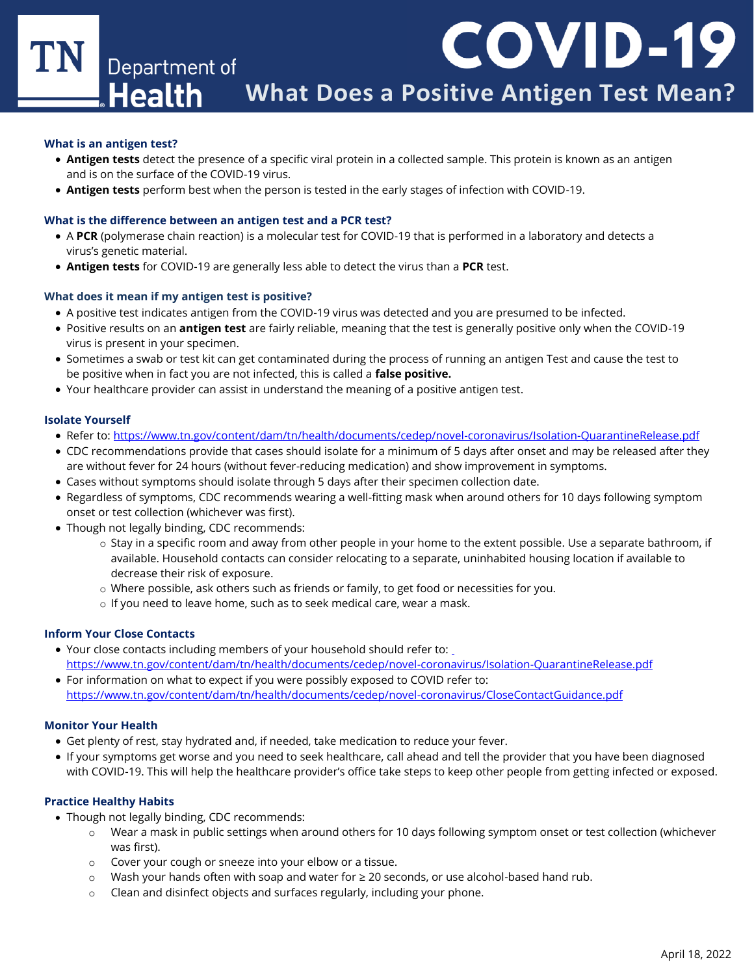**COVID-19** TN Department of **Health What Does a Positive Antigen Test Mean?**

#### **What is an antigen test?**

- **Antigen tests** detect the presence of a specific viral protein in a collected sample. This protein is known as an antigen and is on the surface of the COVID-19 virus.
- **Antigen tests** perform best when the person is tested in the early stages of infection with COVID-19.

### **What is the difference between an antigen test and a PCR test?**

- A **PCR** (polymerase chain reaction) is a molecular test for COVID-19 that is performed in a laboratory and detects a virus's genetic material.
- **Antigen tests** for COVID-19 are generally less able to detect the virus than a **PCR** test.

#### **What does it mean if my antigen test is positive?**

- A positive test indicates antigen from the COVID-19 virus was detected and you are presumed to be infected.
- Positive results on an **antigen test** are fairly reliable, meaning that the test is generally positive only when the COVID-19 virus is present in your specimen.
- Sometimes a swab or test kit can get contaminated during the process of running an antigen Test and cause the test to be positive when in fact you are not infected, this is called a **false positive.**
- Your healthcare provider can assist in understand the meaning of a positive antigen test.

# **Isolate Yourself**

- Refer to:<https://www.tn.gov/content/dam/tn/health/documents/cedep/novel-coronavirus/Isolation-QuarantineRelease.pdf>
- CDC recommendations provide that cases should isolate for a minimum of 5 days after onset and may be released after they are without fever for 24 hours (without fever-reducing medication) and show improvement in symptoms.
- Cases without symptoms should isolate through 5 days after their specimen collection date.
- Regardless of symptoms, CDC recommends wearing a well-fitting mask when around others for 10 days following symptom onset or test collection (whichever was first).
- Though not legally binding, CDC recommends:
	- $\circ$  Stay in a specific room and away from other people in your home to the extent possible. Use a separate bathroom, if available. Household contacts can consider relocating to a separate, uninhabited housing location if available to decrease their risk of exposure.
	- o Where possible, ask others such as friends or family, to get food or necessities for you.
	- o If you need to leave home, such as to seek medical care, wear a mask.

#### **Inform Your Close Contacts**

- Your close contacts including members of your household should refer to: <https://www.tn.gov/content/dam/tn/health/documents/cedep/novel-coronavirus/Isolation-QuarantineRelease.pdf>
- For information on what to expect if you were possibly exposed to COVID refer to: https://www.tn.gov/content/dam/tn/health/documents/cedep/novel-coronavirus/CloseContactGuidance.pdf

# **Monitor Your Health**

- Get plenty of rest, stay hydrated and, if needed, take medication to reduce your fever.
- If your symptoms get worse and you need to seek healthcare, call ahead and tell the provider that you have been diagnosed with COVID-19. This will help the healthcare provider's office take steps to keep other people from getting infected or exposed.

# **Practice Healthy Habits**

- Though not legally binding, CDC recommends:
	- o Wear a mask in public settings when around others for 10 days following symptom onset or test collection (whichever was first).
	- o Cover your cough or sneeze into your elbow or a tissue.
	- o Wash your hands often with soap and water for ≥ 20 seconds, or use alcohol-based hand rub.
	- o Clean and disinfect objects and surfaces regularly, including your phone.